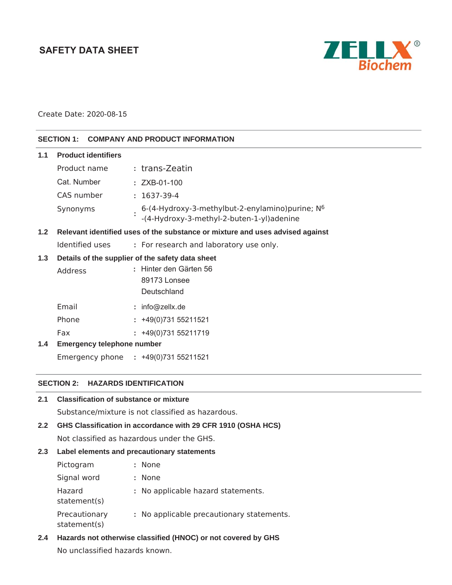# **SAFETY DATA SHEET**



Create Date: 2020-08-15

### **SECTION 1: COMPANY AND PRODUCT INFORMATION**

| 1.1 | <b>Product identifiers</b>                                                    |                                                                                                           |  |  |  |
|-----|-------------------------------------------------------------------------------|-----------------------------------------------------------------------------------------------------------|--|--|--|
|     | Product name                                                                  | : trans-Zeatin                                                                                            |  |  |  |
|     | Cat. Number                                                                   | $: ZXB-01-100$                                                                                            |  |  |  |
|     | CAS number                                                                    | $: 1637-39-4$                                                                                             |  |  |  |
|     | Synonyms                                                                      | 6-(4-Hydroxy-3-methylbut-2-enylamino) purine; N <sup>6</sup><br>-(4-Hydroxy-3-methyl-2-buten-1-yl)adenine |  |  |  |
| 1.2 | Relevant identified uses of the substance or mixture and uses advised against |                                                                                                           |  |  |  |
|     | Identified uses                                                               | : For research and laboratory use only.                                                                   |  |  |  |
| 1.3 | Details of the supplier of the safety data sheet                              |                                                                                                           |  |  |  |
|     | Address                                                                       | : Hinter den Gärten 56                                                                                    |  |  |  |
|     |                                                                               | 89173 Lonsee                                                                                              |  |  |  |
|     |                                                                               | Deutschland                                                                                               |  |  |  |
|     | Email                                                                         | : info@zellx.de                                                                                           |  |  |  |
|     | Phone                                                                         | $: +49(0)73155211521$                                                                                     |  |  |  |
|     | Fax                                                                           | $: +49(0)73155211719$                                                                                     |  |  |  |
| 1.4 | <b>Emergency telephone number</b>                                             |                                                                                                           |  |  |  |
|     |                                                                               | Emergency phone : +49(0)731 55211521                                                                      |  |  |  |

# **SECTION 2: HAZARDS IDENTIFICATION**

| <b>Classification of substance or mixture</b><br>2.1            |  |                                                   |  |  |
|-----------------------------------------------------------------|--|---------------------------------------------------|--|--|
|                                                                 |  | Substance/mixture is not classified as hazardous. |  |  |
| GHS Classification in accordance with 29 CFR 1910 (OSHA HCS)    |  |                                                   |  |  |
| Not classified as hazardous under the GHS.                      |  |                                                   |  |  |
| Label elements and precautionary statements<br>2.3 <sub>2</sub> |  |                                                   |  |  |
| Pictogram                                                       |  | : None                                            |  |  |
| Signal word                                                     |  | : None                                            |  |  |
| Hazard<br>statement(s)                                          |  | : No applicable hazard statements.                |  |  |
| Precautionary<br>statement(s)                                   |  | : No applicable precautionary statements.         |  |  |
|                                                                 |  |                                                   |  |  |

**2.4 Hazards not otherwise classified (HNOC) or not covered by GHS**

No unclassified hazards known.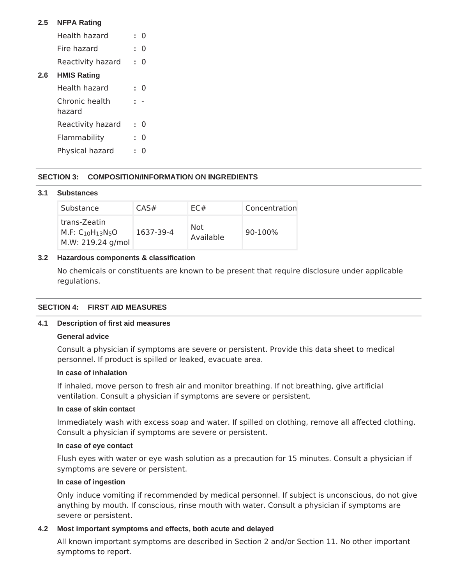### **2.5 NFPA Rating**

- Health hazard **:** 0 Fire hazard **:** 0
- Reactivity hazard **:** 0

### **2.6 HMIS Rating**

| Health hazard            | 0 |
|--------------------------|---|
| Chronic health<br>hazard |   |
| Reactivity hazard        | O |
| Flammability             | O |
| Physical hazard          |   |

# **SECTION 3: COMPOSITION/INFORMATION ON INGREDIENTS**

#### **3.1 Substances**

| Substance                                                    | CAS#      | EC#              | Concentration |
|--------------------------------------------------------------|-----------|------------------|---------------|
| trans-Zeatin<br>$M.F: C_{10}H_{13}N_5O$<br>M.W: 219.24 g/mol | 1637-39-4 | Not<br>Available | 90-100%       |

### **3.2 Hazardous components & classification**

No chemicals or constituents are known to be present that require disclosure under applicable regulations.

### **SECTION 4: FIRST AID MEASURES**

### **4.1 Description of first aid measures**

### **General advice**

Consult a physician if symptoms are severe or persistent. Provide this data sheet to medical personnel. If product is spilled or leaked, evacuate area.

#### **In case of inhalation**

If inhaled, move person to fresh air and monitor breathing. If not breathing, give artificial ventilation. Consult a physician if symptoms are severe or persistent.

### **In case of skin contact**

Immediately wash with excess soap and water. If spilled on clothing, remove all affected clothing. Consult a physician if symptoms are severe or persistent.

#### **In case of eye contact**

Flush eyes with water or eye wash solution as a precaution for 15 minutes. Consult a physician if symptoms are severe or persistent.

#### **In case of ingestion**

Only induce vomiting if recommended by medical personnel. If subject is unconscious, do not give anything by mouth. If conscious, rinse mouth with water. Consult a physician if symptoms are severe or persistent.

### **4.2 Most important symptoms and effects, both acute and delayed**

All known important symptoms are described in Section 2 and/or Section 11. No other important symptoms to report.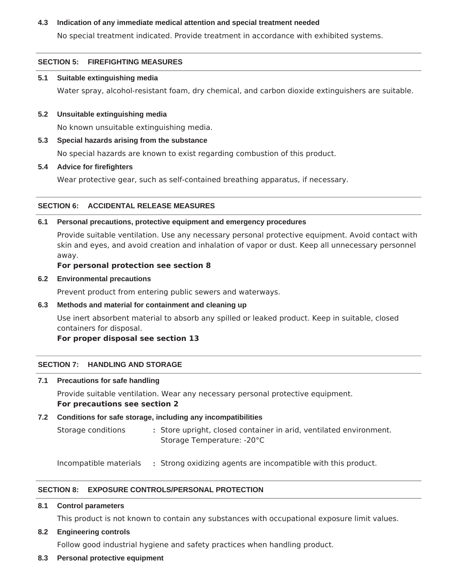### **4.3 Indication of any immediate medical attention and special treatment needed**

No special treatment indicated. Provide treatment in accordance with exhibited systems.

### **SECTION 5: FIREFIGHTING MEASURES**

#### **5.1 Suitable extinguishing media**

Water spray, alcohol-resistant foam, dry chemical, and carbon dioxide extinguishers are suitable.

#### **5.2 Unsuitable extinguishing media**

No known unsuitable extinguishing media.

#### **5.3 Special hazards arising from the substance**

No special hazards are known to exist regarding combustion of this product.

#### **5.4 Advice for firefighters**

Wear protective gear, such as self-contained breathing apparatus, if necessary.

#### **SECTION 6: ACCIDENTAL RELEASE MEASURES**

#### **6.1 Personal precautions, protective equipment and emergency procedures**

Provide suitable ventilation. Use any necessary personal protective equipment. Avoid contact with skin and eyes, and avoid creation and inhalation of vapor or dust. Keep all unnecessary personnel away.

#### **For personal protection see section 8**

#### **6.2 Environmental precautions**

Prevent product from entering public sewers and waterways.

### **6.3 Methods and material for containment and cleaning up**

Use inert absorbent material to absorb any spilled or leaked product. Keep in suitable, closed containers for disposal.

### **For proper disposal see section 13**

### **SECTION 7: HANDLING AND STORAGE**

#### **7.1 Precautions for safe handling**

Provide suitable ventilation. Wear any necessary personal protective equipment. **For precautions see section 2**

### **7.2 Conditions for safe storage, including any incompatibilities**

Storage conditions **:** Store upright, closed container in arid, ventilated environment. Storage Temperature: -20°C

Incompatible materials **:** Strong oxidizing agents are incompatible with this product.

### **SECTION 8: EXPOSURE CONTROLS/PERSONAL PROTECTION**

**8.1 Control parameters**

This product is not known to contain any substances with occupational exposure limit values.

#### **8.2 Engineering controls**

Follow good industrial hygiene and safety practices when handling product.

### **8.3 Personal protective equipment**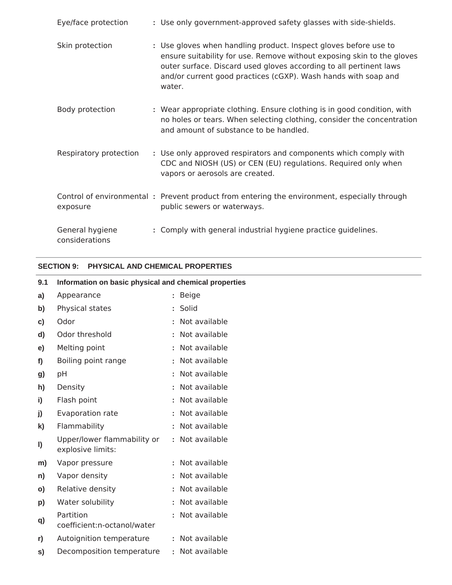| Eye/face protection               | : Use only government-approved safety glasses with side-shields.                                                                                                                                                                                                                             |
|-----------------------------------|----------------------------------------------------------------------------------------------------------------------------------------------------------------------------------------------------------------------------------------------------------------------------------------------|
| Skin protection                   | : Use gloves when handling product. Inspect gloves before use to<br>ensure suitability for use. Remove without exposing skin to the gloves<br>outer surface. Discard used gloves according to all pertinent laws<br>and/or current good practices (cGXP). Wash hands with soap and<br>water. |
| Body protection                   | : Wear appropriate clothing. Ensure clothing is in good condition, with<br>no holes or tears. When selecting clothing, consider the concentration<br>and amount of substance to be handled.                                                                                                  |
| Respiratory protection            | : Use only approved respirators and components which comply with<br>CDC and NIOSH (US) or CEN (EU) regulations. Required only when<br>vapors or aerosols are created.                                                                                                                        |
| exposure                          | Control of environmental: Prevent product from entering the environment, especially through<br>public sewers or waterways.                                                                                                                                                                   |
| General hygiene<br>considerations | : Comply with general industrial hygiene practice guidelines.                                                                                                                                                                                                                                |

# **SECTION 9: PHYSICAL AND CHEMICAL PROPERTIES**

| 9.1      | Information on basic physical and chemical properties |                 |  |
|----------|-------------------------------------------------------|-----------------|--|
| a)       | Appearance                                            | : Beige         |  |
| b)       | Physical states                                       | : Solid         |  |
| c)       | Odor                                                  | : Not available |  |
| d)       | Odor threshold                                        | : Not available |  |
| e)       | Melting point                                         | : Not available |  |
| f)       | Boiling point range                                   | : Not available |  |
| g)       | рH                                                    | : Not available |  |
| h)       | Density                                               | : Not available |  |
| i)       | Flash point                                           | : Not available |  |
| j)       | Evaporation rate                                      | : Not available |  |
| k)       | Flammability                                          | : Not available |  |
| I)       | Upper/lower flammability or<br>explosive limits:      | : Not available |  |
| m)       | Vapor pressure                                        | : Not available |  |
| n)       | Vapor density                                         | : Not available |  |
| $\circ)$ | Relative density                                      | : Not available |  |
| p)       | Water solubility                                      | : Not available |  |
| q)       | Partition<br>coefficient:n-octanol/water              | Not available   |  |
| r)       | Autoignition temperature                              | : Not available |  |
| S)       | Decomposition temperature                             | : Not available |  |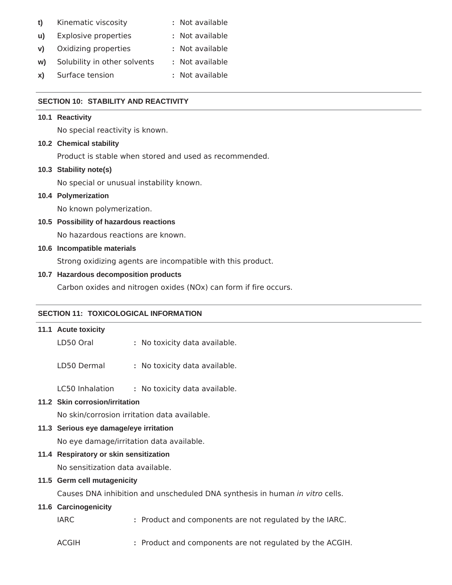- **t)** Kinematic viscosity **:** Not available
- **u)** Explosive properties **:** Not available
- **v)** Oxidizing properties **:** Not available
- **w)** Solubility in other solvents **:** Not available
- **x)** Surface tension **:** Not available

### **SECTION 10: STABILITY AND REACTIVITY**

#### **10.1 Reactivity**

No special reactivity is known.

### **10.2 Chemical stability**

Product is stable when stored and used as recommended.

#### **10.3 Stability note(s)**

No special or unusual instability known.

### **10.4 Polymerization**

No known polymerization.

**10.5 Possibility of hazardous reactions**

No hazardous reactions are known.

### **10.6 Incompatible materials**

Strong oxidizing agents are incompatible with this product.

#### **10.7 Hazardous decomposition products**

Carbon oxides and nitrogen oxides (NOx) can form if fire occurs.

## **SECTION 11: TOXICOLOGICAL INFORMATION**

| 11.1 Acute toxicity                          |  |                                                                              |
|----------------------------------------------|--|------------------------------------------------------------------------------|
| LD50 Oral                                    |  | : No toxicity data available.                                                |
| LD50 Dermal                                  |  | : No toxicity data available.                                                |
| LC50 Inhalation                              |  | : No toxicity data available.                                                |
| 11.2 Skin corrosion/irritation               |  |                                                                              |
| No skin/corrosion irritation data available. |  |                                                                              |
| 11.3 Serious eye damage/eye irritation       |  |                                                                              |
| No eye damage/irritation data available.     |  |                                                                              |
| 11.4 Respiratory or skin sensitization       |  |                                                                              |
| No sensitization data available.             |  |                                                                              |
| 11.5 Germ cell mutagenicity                  |  |                                                                              |
|                                              |  | Causes DNA inhibition and unscheduled DNA synthesis in human in vitro cells. |
| 11.6 Carcinogenicity                         |  |                                                                              |
| <b>IARC</b>                                  |  | : Product and components are not regulated by the IARC.                      |
| <b>ACGIH</b>                                 |  | : Product and components are not regulated by the ACGIH.                     |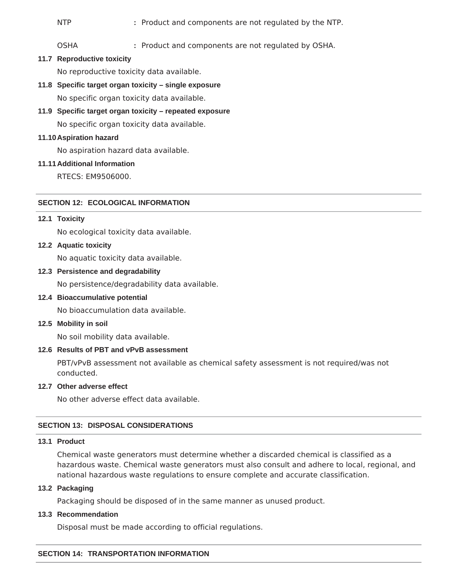NTP **:** Product and components are not regulated by the NTP.

OSHA **:** Product and components are not regulated by OSHA.

**11.7 Reproductive toxicity**

No reproductive toxicity data available.

**11.8 Specific target organ toxicity – single exposure**

No specific organ toxicity data available.

**11.9 Specific target organ toxicity – repeated exposure**

No specific organ toxicity data available.

#### **11.10Aspiration hazard**

No aspiration hazard data available.

#### **11.11Additional Information**

RTECS: EM9506000.

### **SECTION 12: ECOLOGICAL INFORMATION**

#### **12.1 Toxicity**

No ecological toxicity data available.

#### **12.2 Aquatic toxicity**

No aquatic toxicity data available.

#### **12.3 Persistence and degradability**

No persistence/degradability data available.

#### **12.4 Bioaccumulative potential**

No bioaccumulation data available.

**12.5 Mobility in soil**

No soil mobility data available.

### **12.6 Results of PBT and vPvB assessment**

PBT/vPvB assessment not available as chemical safety assessment is not required/was not conducted.

#### **12.7 Other adverse effect**

No other adverse effect data available.

### **SECTION 13: DISPOSAL CONSIDERATIONS**

# **13.1 Product**

Chemical waste generators must determine whether a discarded chemical is classified as a hazardous waste. Chemical waste generators must also consult and adhere to local, regional, and national hazardous waste regulations to ensure complete and accurate classification.

### **13.2 Packaging**

Packaging should be disposed of in the same manner as unused product.

#### **13.3 Recommendation**

Disposal must be made according to official regulations.

#### **SECTION 14: TRANSPORTATION INFORMATION**